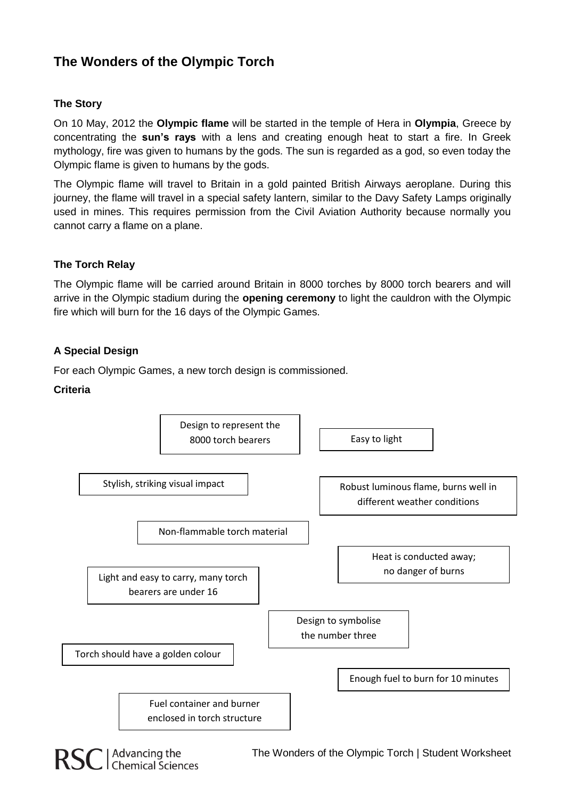# **The Wonders of the Olympic Torch**

# **The Story**

On 10 May, 2012 the **Olympic flame** will be started in the temple of Hera in **Olympia**, Greece by concentrating the **sun's rays** with a lens and creating enough heat to start a fire. In Greek mythology, fire was given to humans by the gods. The sun is regarded as a god, so even today the Olympic flame is given to humans by the gods.

The Olympic flame will travel to Britain in a gold painted British Airways aeroplane. During this journey, the flame will travel in a special safety lantern, similar to the Davy Safety Lamps originally used in mines. This requires permission from the Civil Aviation Authority because normally you cannot carry a flame on a plane.

# **The Torch Relay**

The Olympic flame will be carried around Britain in 8000 torches by 8000 torch bearers and will arrive in the Olympic stadium during the **opening ceremony** to light the cauldron with the Olympic fire which will burn for the 16 days of the Olympic Games.

# **A Special Design**

For each Olympic Games, a new torch design is commissioned.

#### **Criteria**

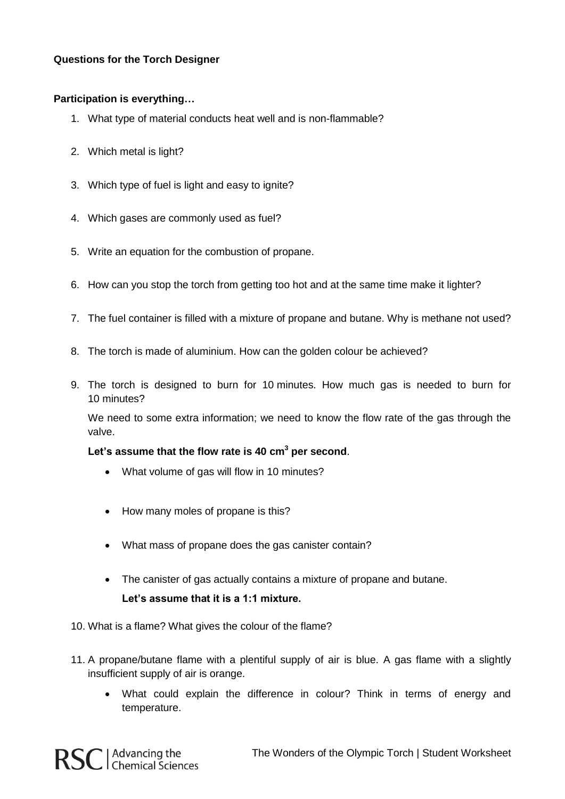# **Questions for the Torch Designer**

### **Participation is everything…**

- 1. What type of material conducts heat well and is non-flammable?
- 2. Which metal is light?
- 3. Which type of fuel is light and easy to ignite?
- 4. Which gases are commonly used as fuel?
- 5. Write an equation for the combustion of propane.
- 6. How can you stop the torch from getting too hot and at the same time make it lighter?
- 7. The fuel container is filled with a mixture of propane and butane. Why is methane not used?
- 8. The torch is made of aluminium. How can the golden colour be achieved?
- 9. The torch is designed to burn for 10 minutes. How much gas is needed to burn for 10 minutes?

We need to some extra information; we need to know the flow rate of the gas through the valve.

#### **Let's assume that the flow rate is 40 cm<sup>3</sup> per second**.

- What volume of gas will flow in 10 minutes?
- How many moles of propane is this?
- What mass of propane does the gas canister contain?
- The canister of gas actually contains a mixture of propane and butane. **Let's assume that it is a 1:1 mixture.**
- 10. What is a flame? What gives the colour of the flame?
- 11. A propane/butane flame with a plentiful supply of air is blue. A gas flame with a slightly insufficient supply of air is orange.
	- What could explain the difference in colour? Think in terms of energy and temperature.